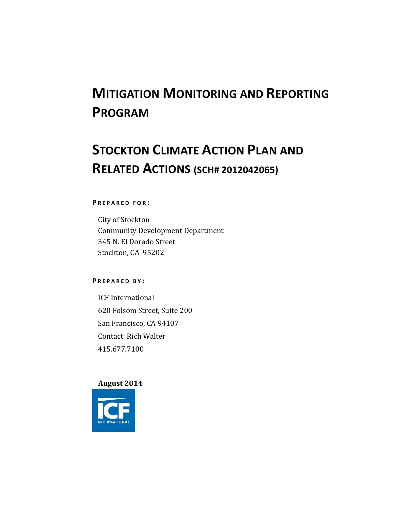# **MITIGATION MONITORING AND REPORTING PROGRAM**

# **STOCKTON CLIMATE ACTION PLAN AND RELATED ACTIONS (SCH# 2012042065)**

#### **P REPARED FOR :**

City of Stockton Community Development Department 345 N. El Dorado Street Stockton, CA 95202

#### **P REPARED B Y :**

ICF International 620 Folsom Street, Suite 200 San Francisco, CA 94107 Contact: Rich Walter 415.677.7100 

### **August 2014**

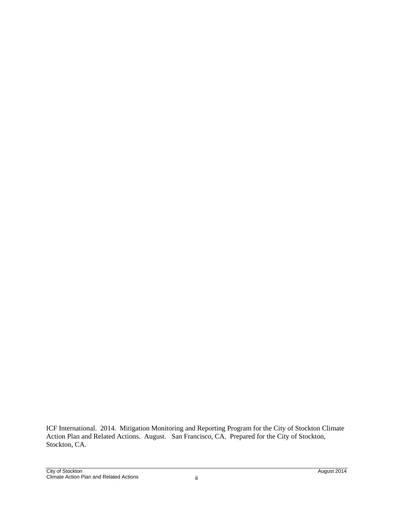ICF International. 2014. Mitigation Monitoring and Reporting Program for the City of Stockton Climate Action Plan and Related Actions. August. San Francisco, CA. Prepared for the City of Stockton, Stockton, CA.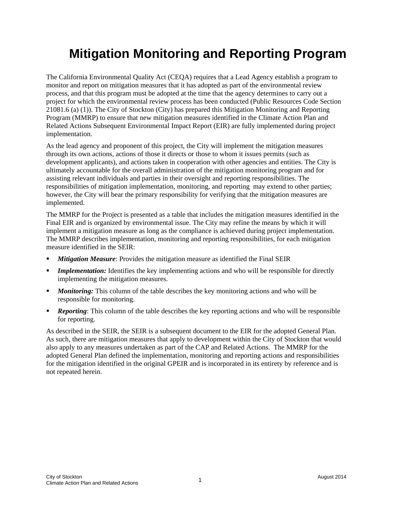### **Mitigation Monitoring and Reporting Program**

The California Environmental Quality Act (CEQA) requires that a Lead Agency establish a program to monitor and report on mitigation measures that it has adopted as part of the environmental review process, and that this program must be adopted at the time that the agency determines to carry out a project for which the environmental review process has been conducted (Public Resources Code Section 21081.6 (a) (1)). The City of Stockton (City) has prepared this Mitigation Monitoring and Reporting Program (MMRP) to ensure that new mitigation measures identified in the Climate Action Plan and Related Actions Subsequent Environmental Impact Report (EIR) are fully implemented during project implementation.

As the lead agency and proponent of this project, the City will implement the mitigation measures through its own actions, actions of those it directs or those to whom it issues permits (such as development applicants), and actions taken in cooperation with other agencies and entities. The City is ultimately accountable for the overall administration of the mitigation monitoring program and for assisting relevant individuals and parties in their oversight and reporting responsibilities. The responsibilities of mitigation implementation, monitoring, and reporting may extend to other parties; however, the City will bear the primary responsibility for verifying that the mitigation measures are implemented.

The MMRP for the Project is presented as a table that includes the mitigation measures identified in the Final EIR and is organized by environmental issue. The City may refine the means by which it will implement a mitigation measure as long as the compliance is achieved during project implementation. The MMRP describes implementation, monitoring and reporting responsibilities, for each mitigation measure identified in the SEIR:

- **Mitigation Measure:** Provides the mitigation measure as identified the Final SEIR
- *Implementation:* Identifies the key implementing actions and who will be responsible for directly implementing the mitigation measures.
- *Monitoring:* This column of the table describes the key monitoring actions and who will be responsible for monitoring.
- **Reporting:** This column of the table describes the key reporting actions and who will be responsible for reporting.

As described in the SEIR, the SEIR is a subsequent document to the EIR for the adopted General Plan. As such, there are mitigation measures that apply to development within the City of Stockton that would also apply to any measures undertaken as part of the CAP and Related Actions. The MMRP for the adopted General Plan defined the implementation, monitoring and reporting actions and responsibilities for the mitigation identified in the original GPEIR and is incorporated in its entirety by reference and is not repeated herein.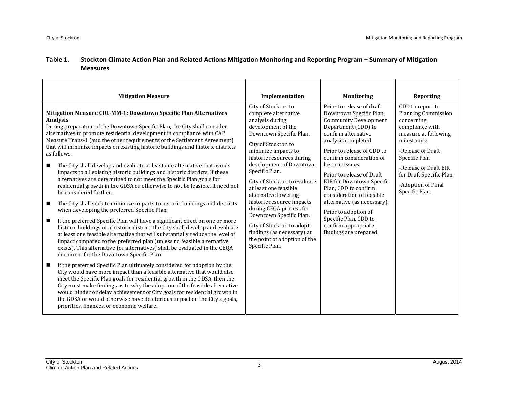#### **Table**e 1. Stockton Climate Action Plan and Related Actions Mitigation Monitoring and Reporting Program – Summary of Mitigation **Measures**

| <b>Mitigation Measure</b>                                                                                                                                                                                                                                                                                                                                                                                                                                                                                                                                                                                                                                                                                                                                                                                                                                                                                                                                                                                                                                                                                                                                                                                                                                                                                                                                                                                                                                                                                                                                                                                                                                                                                                                                                                                                                                                                                                                     | Implementation                                                                                                                                                                                                                                                                                                                                                                                                                                                                                                           | <b>Monitoring</b>                                                                                                                                                                                                                                                                                                                                                                                                                                                                       | <b>Reporting</b>                                                                                                                                                                                                                                          |
|-----------------------------------------------------------------------------------------------------------------------------------------------------------------------------------------------------------------------------------------------------------------------------------------------------------------------------------------------------------------------------------------------------------------------------------------------------------------------------------------------------------------------------------------------------------------------------------------------------------------------------------------------------------------------------------------------------------------------------------------------------------------------------------------------------------------------------------------------------------------------------------------------------------------------------------------------------------------------------------------------------------------------------------------------------------------------------------------------------------------------------------------------------------------------------------------------------------------------------------------------------------------------------------------------------------------------------------------------------------------------------------------------------------------------------------------------------------------------------------------------------------------------------------------------------------------------------------------------------------------------------------------------------------------------------------------------------------------------------------------------------------------------------------------------------------------------------------------------------------------------------------------------------------------------------------------------|--------------------------------------------------------------------------------------------------------------------------------------------------------------------------------------------------------------------------------------------------------------------------------------------------------------------------------------------------------------------------------------------------------------------------------------------------------------------------------------------------------------------------|-----------------------------------------------------------------------------------------------------------------------------------------------------------------------------------------------------------------------------------------------------------------------------------------------------------------------------------------------------------------------------------------------------------------------------------------------------------------------------------------|-----------------------------------------------------------------------------------------------------------------------------------------------------------------------------------------------------------------------------------------------------------|
| Mitigation Measure CUL-MM-1: Downtown Specific Plan Alternatives<br><b>Analysis</b><br>During preparation of the Downtown Specific Plan, the City shall consider<br>alternatives to promote residential development in compliance with CAP<br>Measure Trans-1 (and the other requirements of the Settlement Agreement)<br>that will minimize impacts on existing historic buildings and historic districts<br>as follows:<br>The City shall develop and evaluate at least one alternative that avoids<br>■<br>impacts to all existing historic buildings and historic districts. If these<br>alternatives are determined to not meet the Specific Plan goals for<br>residential growth in the GDSA or otherwise to not be feasible, it need not<br>be considered further.<br>The City shall seek to minimize impacts to historic buildings and districts<br>$\blacksquare$<br>when developing the preferred Specific Plan.<br>If the preferred Specific Plan will have a significant effect on one or more<br>$\blacksquare$<br>historic buildings or a historic district, the City shall develop and evaluate<br>at least one feasible alternative that will substantially reduce the level of<br>impact compared to the preferred plan (unless no feasible alternative<br>exists). This alternative (or alternatives) shall be evaluated in the CEQA<br>document for the Downtown Specific Plan.<br>If the preferred Specific Plan ultimately considered for adoption by the<br>$\blacksquare$<br>City would have more impact than a feasible alternative that would also<br>meet the Specific Plan goals for residential growth in the GDSA, then the<br>City must make findings as to why the adoption of the feasible alternative<br>would hinder or delay achievement of City goals for residential growth in<br>the GDSA or would otherwise have deleterious impact on the City's goals,<br>priorities, finances, or economic welfare. | City of Stockton to<br>complete alternative<br>analysis during<br>development of the<br>Downtown Specific Plan.<br>City of Stockton to<br>minimize impacts to<br>historic resources during<br>development of Downtown<br>Specific Plan.<br>City of Stockton to evaluate<br>at least one feasible<br>alternative lowering<br>historic resource impacts<br>during CEQA process for<br>Downtown Specific Plan.<br>City of Stockton to adopt<br>findings (as necessary) at<br>the point of adoption of the<br>Specific Plan. | Prior to release of draft<br>Downtown Specific Plan,<br><b>Community Development</b><br>Department (CDD) to<br>confirm alternative<br>analysis completed.<br>Prior to release of CDD to<br>confirm consideration of<br>historic issues.<br>Prior to release of Draft<br>EIR for Downtown Specific<br>Plan, CDD to confirm<br>consideration of feasible<br>alternative (as necessary).<br>Prior to adoption of<br>Specific Plan, CDD to<br>confirm appropriate<br>findings are prepared. | CDD to report to<br><b>Planning Commission</b><br>concerning<br>compliance with<br>measure at following<br>milestones:<br>-Release of Draft<br>Specific Plan<br>-Release of Draft EIR<br>for Draft Specific Plan.<br>-Adoption of Final<br>Specific Plan. |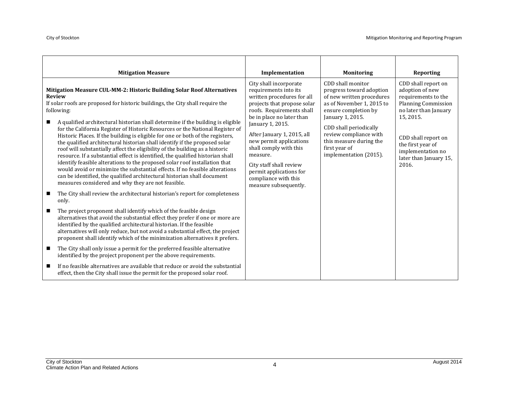| <b>Mitigation Measure</b>                                                                                                                                                                                                                                                                                                                                                                                                                                                                                                                                                                                                                                                                                                                                                                                                                                                                                                                                                                                                                                                                                                                                                                                                                                                                                                                                                                                                                                                                                                                                                                                                                                                                                                                                                                              | Implementation                                                                                                                                                                                                                                                                                                                                                                                   | <b>Monitoring</b>                                                                                                                                                                                                                                                             | Reporting                                                                                                                                                                                                                             |
|--------------------------------------------------------------------------------------------------------------------------------------------------------------------------------------------------------------------------------------------------------------------------------------------------------------------------------------------------------------------------------------------------------------------------------------------------------------------------------------------------------------------------------------------------------------------------------------------------------------------------------------------------------------------------------------------------------------------------------------------------------------------------------------------------------------------------------------------------------------------------------------------------------------------------------------------------------------------------------------------------------------------------------------------------------------------------------------------------------------------------------------------------------------------------------------------------------------------------------------------------------------------------------------------------------------------------------------------------------------------------------------------------------------------------------------------------------------------------------------------------------------------------------------------------------------------------------------------------------------------------------------------------------------------------------------------------------------------------------------------------------------------------------------------------------|--------------------------------------------------------------------------------------------------------------------------------------------------------------------------------------------------------------------------------------------------------------------------------------------------------------------------------------------------------------------------------------------------|-------------------------------------------------------------------------------------------------------------------------------------------------------------------------------------------------------------------------------------------------------------------------------|---------------------------------------------------------------------------------------------------------------------------------------------------------------------------------------------------------------------------------------|
| Mitigation Measure CUL-MM-2: Historic Building Solar Roof Alternatives<br><b>Review</b><br>If solar roofs are proposed for historic buildings, the City shall require the<br>following:<br>A qualified architectural historian shall determine if the building is eligible<br>for the California Register of Historic Resources or the National Register of<br>Historic Places. If the building is eligible for one or both of the registers,<br>the qualified architectural historian shall identify if the proposed solar<br>roof will substantially affect the eligibility of the building as a historic<br>resource. If a substantial effect is identified, the qualified historian shall<br>identify feasible alterations to the proposed solar roof installation that<br>would avoid or minimize the substantial effects. If no feasible alterations<br>can be identified, the qualified architectural historian shall document<br>measures considered and why they are not feasible.<br>The City shall review the architectural historian's report for completeness<br>only.<br>The project proponent shall identify which of the feasible design<br>alternatives that avoid the substantial effect they prefer if one or more are<br>identified by the qualified architectural historian. If the feasible<br>alternatives will only reduce, but not avoid a substantial effect, the project<br>proponent shall identify which of the minimization alternatives it prefers.<br>The City shall only issue a permit for the preferred feasible alternative<br>ш<br>identified by the project proponent per the above requirements.<br>If no feasible alternatives are available that reduce or avoid the substantial<br>effect, then the City shall issue the permit for the proposed solar roof. | City shall incorporate<br>requirements into its<br>written procedures for all<br>projects that propose solar<br>roofs. Requirements shall<br>be in place no later than<br>January 1, 2015.<br>After January 1, 2015, all<br>new permit applications<br>shall comply with this<br>measure.<br>City staff shall review<br>permit applications for<br>compliance with this<br>measure subsequently. | CDD shall monitor<br>progress toward adoption<br>of new written procedures<br>as of November 1, 2015 to<br>ensure completion by<br>January 1, 2015.<br>CDD shall periodically<br>review compliance with<br>this measure during the<br>first year of<br>implementation (2015). | CDD shall report on<br>adoption of new<br>requirements to the<br><b>Planning Commission</b><br>no later than January<br>15, 2015.<br>CDD shall report on<br>the first year of<br>implementation no<br>later than January 15,<br>2016. |